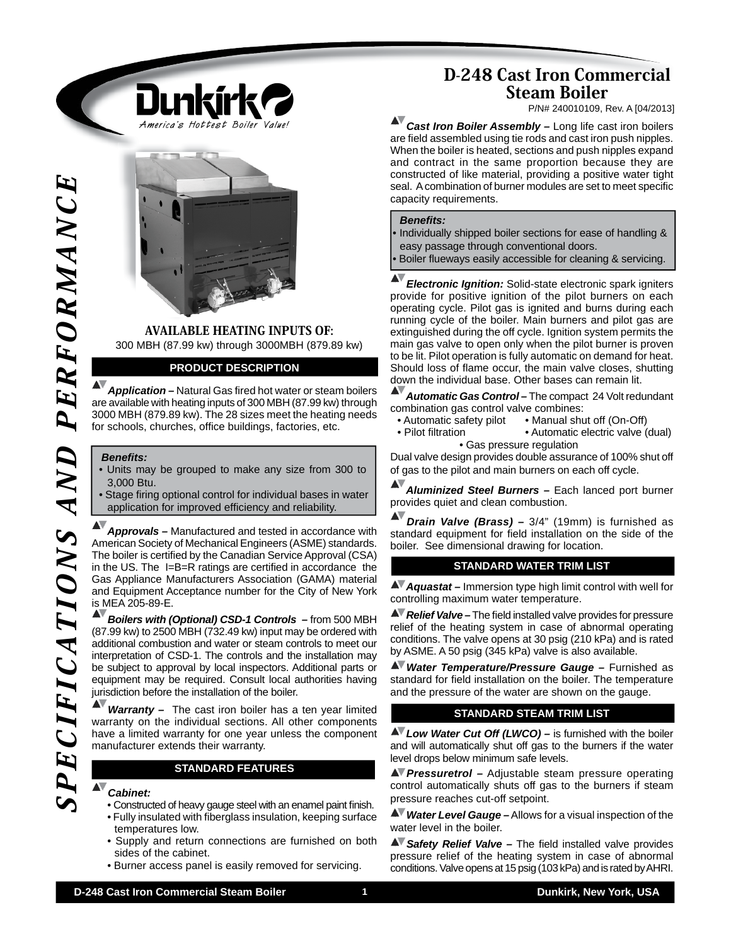

AVAILABLE HEATING INPUTS OF: 300 MBH (87.99 kw) through 3000MBH (879.89 kw)

### **PRODUCT DESCRIPTION**

**Application –** Natural Gas fired hot water or steam boilers are available with heating inputs of 300 MBH (87.99 kw) through 3000 MBH (879.89 kw). The 28 sizes meet the heating needs for schools, churches, office buildings, factories, etc.

#### *Benefi ts:*

- Units may be grouped to make any size from 300 to 3,000 Btu.
- Stage firing optional control for individual bases in water application for improved efficiency and reliability.

*Approvals –* Manufactured and tested in accordance with American Society of Mechanical Engineers (ASME) standards. The boiler is certified by the Canadian Service Approval (CSA) in the US. The  $I=B=R$  ratings are certified in accordance the Gas Appliance Manufacturers Association (GAMA) material and Equipment Acceptance number for the City of New York is MEA 205-89-E.

*Boilers with (Optional) CSD-1 Controls –* from 500 MBH (87.99 kw) to 2500 MBH (732.49 kw) input may be ordered with additional combustion and water or steam controls to meet our interpretation of CSD-1. The controls and the installation may be subject to approval by local inspectors. Additional parts or equipment may be required. Consult local authorities having jurisdiction before the installation of the boiler.

*Warranty –* The cast iron boiler has a ten year limited warranty on the individual sections. All other components have a limited warranty for one year unless the component manufacturer extends their warranty.

#### **STANDARD FEATURES**

#### *Cabinet:*

- Constructed of heavy gauge steel with an enamel paint finish. • Fully insulated with fiberglass insulation, keeping surface temperatures low.
- Supply and return connections are furnished on both sides of the cabinet.
- Burner access panel is easily removed for servicing.

# D-248 Cast Iron Commercial Steam Boiler

P/N# 240010109, Rev. A [04/2013]

AV *Cast Iron Boiler Assembly –* Long life cast iron boilers are field assembled using tie rods and cast iron push nipples. When the boiler is heated, sections and push nipples expand and contract in the same proportion because they are constructed of like material, providing a positive water tight seal. A combination of burner modules are set to meet specific capacity requirements.

#### *Benefi ts:*

• Individually shipped boiler sections for ease of handling & easy passage through conventional doors. Boiler flueways easily accessible for cleaning & servicing.

**D-24**<br>
Case of the commercial Steam Boiler and the composite the composite term is the commercial Steam Boiler and the commercial Steam Boiler and the composite of the commercial Steam Boiler and the composite of the com *Electronic Ignition:* Solid-state electronic spark igniters provide for positive ignition of the pilot burners on each operating cycle. Pilot gas is ignited and burns during each running cycle of the boiler. Main burners and pilot gas are extinguished during the off cycle. Ignition system permits the main gas valve to open only when the pilot burner is proven to be lit. Pilot operation is fully automatic on demand for heat. Should loss of flame occur, the main valve closes, shutting down the individual base. Other bases can remain lit.

*Automatic Gas Control –* The compact 24 Volt redundant combination gas control valve combines:<br>• Automatic safety pilot • Manual shu

- Manual shut off (On-Off)
- Pilot filtration Automatic electric valve (dual) • Gas pressure regulation

Dual valve design provides double assurance of 100% shut off of gas to the pilot and main burners on each off cycle.

*Aluminized Steel Burners –* Each lanced port burner provides quiet and clean combustion.

*Drain Valve (Brass) –* 3/4" (19mm) is furnished as standard equipment for field installation on the side of the boiler. See dimensional drawing for location.

### **STANDARD WATER TRIM LIST**

*Aquastat –* Immersion type high limit control with well for controlling maximum water temperature.

**AV** Relief Valve – The field installed valve provides for pressure relief of the heating system in case of abnormal operating conditions. The valve opens at 30 psig (210 kPa) and is rated by ASME. A 50 psig (345 kPa) valve is also available.

*Water Temperature/Pressure Gauge –* Furnished as standard for field installation on the boiler. The temperature and the pressure of the water are shown on the gauge. 

### **STANDARD STEAM TRIM LIST**

**AV** Low Water Cut Off (LWCO) – is furnished with the boiler and will automatically shut off gas to the burners if the water level drops below minimum safe levels.

*Pressuretrol –* Adjustable steam pressure operating control automatically shuts off gas to the burners if steam pressure reaches cut-off setpoint.

*Water Level Gauge –* Allows for a visual inspection of the water level in the boiler.

**AV** Safety Relief Valve – The field installed valve provides pressure relief of the heating system in case of abnormal conditions. Valve opens at 15 psig (103 kPa) and is rated by AHRI.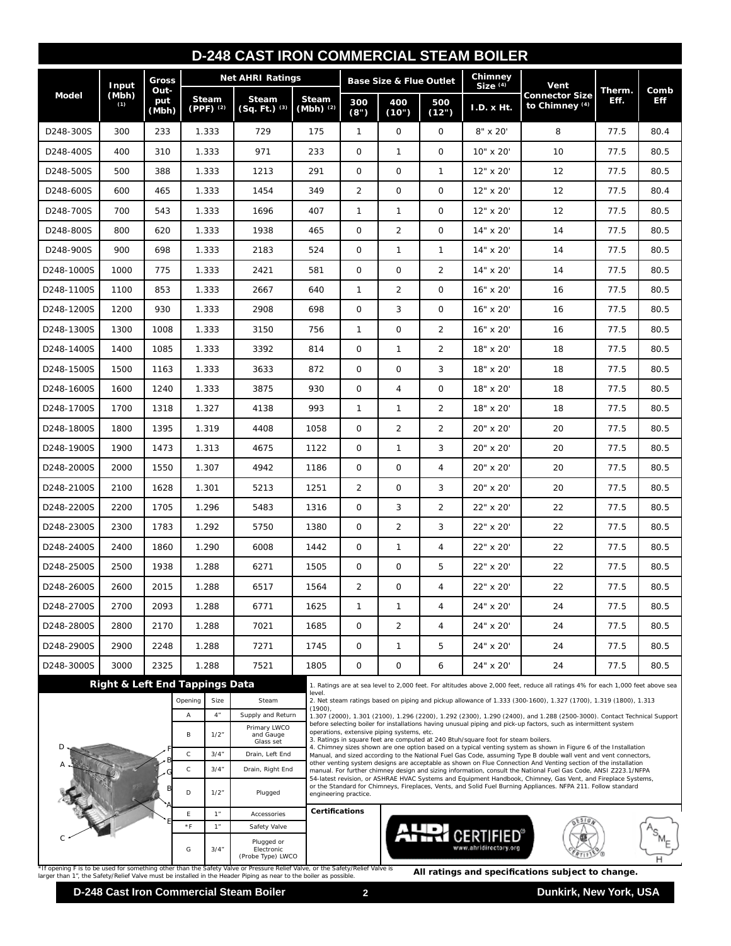| <b>D-248 CAST IRON COMMERCIAL STEAM BOILER</b> |                       |                      |                                           |                                               |                                            |                             |                                                                                                                                                                                                                                                                                                                                                                                                                                                                                                                                                                 |                                                                                                                                                                                                                               |                       |                         |                                                                                                                  |                |                    |  |  |
|------------------------------------------------|-----------------------|----------------------|-------------------------------------------|-----------------------------------------------|--------------------------------------------|-----------------------------|-----------------------------------------------------------------------------------------------------------------------------------------------------------------------------------------------------------------------------------------------------------------------------------------------------------------------------------------------------------------------------------------------------------------------------------------------------------------------------------------------------------------------------------------------------------------|-------------------------------------------------------------------------------------------------------------------------------------------------------------------------------------------------------------------------------|-----------------------|-------------------------|------------------------------------------------------------------------------------------------------------------|----------------|--------------------|--|--|
| Model                                          | Input<br>(Mbh)<br>(1) | Gross                |                                           |                                               | <b>Net AHRI Ratings</b>                    |                             |                                                                                                                                                                                                                                                                                                                                                                                                                                                                                                                                                                 | <b>Base Size &amp; Flue Outlet</b>                                                                                                                                                                                            |                       | Chimney<br>$Size^{(4)}$ | Vent                                                                                                             | Therm.<br>Eff. | Comb<br><b>Eff</b> |  |  |
|                                                |                       | Out-<br>put<br>(Mbh) |                                           | Steam<br>$(PPF)^{(2)}$                        | <b>Steam</b><br>$(Sq. Ft.)$ <sup>(3)</sup> | <b>Steam</b><br>$(Mbh)^(2)$ | 300<br>400<br>(8")<br>(10")                                                                                                                                                                                                                                                                                                                                                                                                                                                                                                                                     |                                                                                                                                                                                                                               | 500<br>(12")          | I.D. x Ht.              | <b>Connector Size</b><br>to Chimney (4)                                                                          |                |                    |  |  |
| D248-300S                                      | 300                   | 233                  |                                           | 1.333                                         | 729                                        | 175                         | $\mathbf{1}$                                                                                                                                                                                                                                                                                                                                                                                                                                                                                                                                                    | $\mathbf{O}$                                                                                                                                                                                                                  | $\mathbf 0$           | 8" x 20"                | 8                                                                                                                | 77.5           | 80.4               |  |  |
| D248-400S                                      | 400                   | 310                  |                                           | 1.333                                         | 971                                        | 233                         | $\mathbf 0$                                                                                                                                                                                                                                                                                                                                                                                                                                                                                                                                                     | 1                                                                                                                                                                                                                             | $\mathbf 0$           | 10" x 20'               | 10                                                                                                               | 77.5           | 80.5               |  |  |
| D248-500S                                      | 500                   | 388                  | 1.333                                     |                                               | 1213                                       | 291                         | $\mathbf 0$                                                                                                                                                                                                                                                                                                                                                                                                                                                                                                                                                     | 0                                                                                                                                                                                                                             | 1                     | 12" x 20'               | 12                                                                                                               | 77.5           | 80.5               |  |  |
| D248-600S                                      | 600                   | 465                  | 1.333                                     |                                               | 1454                                       | 349                         | $\overline{2}$                                                                                                                                                                                                                                                                                                                                                                                                                                                                                                                                                  | $\mathbf{O}$                                                                                                                                                                                                                  | $\mathbf 0$           | 12" x 20'               | 12                                                                                                               | 77.5           | 80.4               |  |  |
| D248-700S                                      | 700                   | 543                  | 1.333                                     |                                               | 1696                                       | 407                         | 1                                                                                                                                                                                                                                                                                                                                                                                                                                                                                                                                                               | 1                                                                                                                                                                                                                             | 0                     | 12" x 20'               | 12                                                                                                               | 77.5           | 80.5               |  |  |
| D248-800S                                      | 800                   | 620                  | 1.333                                     |                                               | 1938                                       | 465                         | 0                                                                                                                                                                                                                                                                                                                                                                                                                                                                                                                                                               | 2                                                                                                                                                                                                                             | $\mathbf 0$           | 14" x 20'               | 14                                                                                                               | 77.5           | 80.5               |  |  |
| D248-900S                                      | 900                   | 698                  | 1.333                                     |                                               | 2183                                       | 524                         | $\mathbf 0$                                                                                                                                                                                                                                                                                                                                                                                                                                                                                                                                                     | 1                                                                                                                                                                                                                             | 1                     | 14" x 20'               | 14                                                                                                               | 77.5           | 80.5               |  |  |
| D248-1000S                                     | 1000                  | 775                  | 1.333                                     |                                               | 2421                                       | 581                         | 0                                                                                                                                                                                                                                                                                                                                                                                                                                                                                                                                                               | 0                                                                                                                                                                                                                             | 2                     | 14" x 20'               | 14                                                                                                               | 77.5           | 80.5               |  |  |
| D248-1100S                                     | 1100                  | 853                  | 1.333                                     |                                               | 2667                                       | 640                         | 1                                                                                                                                                                                                                                                                                                                                                                                                                                                                                                                                                               | 2                                                                                                                                                                                                                             | 0                     | 16" x 20"               | 16                                                                                                               | 77.5           | 80.5               |  |  |
| D248-1200S                                     | 1200                  | 930                  | 1.333                                     |                                               | 2908                                       | 698                         | $\mathbf 0$                                                                                                                                                                                                                                                                                                                                                                                                                                                                                                                                                     | 3                                                                                                                                                                                                                             | 0                     | 16" x 20'               | 16                                                                                                               | 77.5           | 80.5               |  |  |
| D248-1300S                                     | 1300                  | 1008                 | 1.333                                     |                                               | 3150                                       | 756                         | 1                                                                                                                                                                                                                                                                                                                                                                                                                                                                                                                                                               | $\mathbf{O}$                                                                                                                                                                                                                  | 2                     | 16" x 20'               | 16                                                                                                               | 77.5           | 80.5               |  |  |
| D248-1400S                                     | 1400                  | 1085                 | 1.333                                     |                                               | 3392                                       | 814                         | 0                                                                                                                                                                                                                                                                                                                                                                                                                                                                                                                                                               | 1                                                                                                                                                                                                                             | $\overline{2}$        | 18" x 20"               | 18                                                                                                               | 77.5           | 80.5               |  |  |
| D248-1500S                                     | 1500                  | 1163                 | 1.333                                     |                                               | 3633                                       | 872                         | 0                                                                                                                                                                                                                                                                                                                                                                                                                                                                                                                                                               | 0                                                                                                                                                                                                                             | 3                     | 18" x 20'               | 18                                                                                                               | 77.5           | 80.5               |  |  |
| D248-1600S                                     | 1600                  | 1240                 | 1.333                                     |                                               | 3875                                       | 930                         | 0                                                                                                                                                                                                                                                                                                                                                                                                                                                                                                                                                               | 4                                                                                                                                                                                                                             | 0                     | 18" x 20"               | 18                                                                                                               | 77.5           | 80.5               |  |  |
| D248-1700S                                     | 1700                  | 1318                 | 1.327                                     |                                               | 4138                                       | 993                         | 1                                                                                                                                                                                                                                                                                                                                                                                                                                                                                                                                                               | 1                                                                                                                                                                                                                             | $\overline{2}$        | 18" x 20'               | 18                                                                                                               | 77.5           | 80.5               |  |  |
| D248-1800S                                     | 1800                  | 1395                 | 1.319                                     |                                               | 4408                                       | 1058                        | 0                                                                                                                                                                                                                                                                                                                                                                                                                                                                                                                                                               | 2                                                                                                                                                                                                                             | 2                     | 20" x 20"               | 20                                                                                                               | 77.5           | 80.5               |  |  |
| D248-1900S                                     | 1900                  | 1473                 | 1.313                                     |                                               | 4675                                       | 1122                        | 0                                                                                                                                                                                                                                                                                                                                                                                                                                                                                                                                                               | 1                                                                                                                                                                                                                             | 3                     | 20" x 20'               | 20                                                                                                               | 77.5           | 80.5               |  |  |
| D248-2000S                                     | 2000                  | 1550                 | 1.307                                     |                                               | 4942                                       | 1186                        | $\mathbf 0$                                                                                                                                                                                                                                                                                                                                                                                                                                                                                                                                                     | 0                                                                                                                                                                                                                             | 4                     | 20" x 20"               | 20                                                                                                               | 77.5           | 80.5               |  |  |
| D248-2100S                                     | 2100                  | 1628                 | 1.301                                     |                                               | 5213                                       | 1251                        | 2                                                                                                                                                                                                                                                                                                                                                                                                                                                                                                                                                               | 0                                                                                                                                                                                                                             | 3                     | 20" x 20"               | 20                                                                                                               | 77.5           | 80.5               |  |  |
| D248-2200S                                     | 2200                  | 1705                 |                                           | 1.296                                         | 5483                                       | 1316                        | 0                                                                                                                                                                                                                                                                                                                                                                                                                                                                                                                                                               | 3                                                                                                                                                                                                                             | 2                     | 22" x 20'               | 22                                                                                                               | 77.5           | 80.5               |  |  |
| D248-2300S                                     | 2300                  | 1783                 |                                           | 1.292                                         | 5750                                       | 1380                        | 0                                                                                                                                                                                                                                                                                                                                                                                                                                                                                                                                                               | 2                                                                                                                                                                                                                             | 3                     | 22" x 20'               | 22                                                                                                               | 77.5           | 80.5               |  |  |
| D248-2400S                                     | 2400                  | 1860                 | 1.290                                     |                                               | 6008                                       | 1442                        | 0                                                                                                                                                                                                                                                                                                                                                                                                                                                                                                                                                               | 1                                                                                                                                                                                                                             | 4                     | 22" x 20'               | 22                                                                                                               | 77.5           | 80.5               |  |  |
| D248-2500S                                     | 2500                  | 1938                 | 1.288                                     |                                               | 6271                                       | 1505                        | $\circ$                                                                                                                                                                                                                                                                                                                                                                                                                                                                                                                                                         | 0                                                                                                                                                                                                                             | 5                     | 22" x 20'               | 22                                                                                                               | 77.5           | 80.5               |  |  |
| D248-2600S                                     | 2600                  | 2015                 | 1.288                                     |                                               | 6517                                       | 1564                        | $\overline{2}$                                                                                                                                                                                                                                                                                                                                                                                                                                                                                                                                                  | $\mathbf 0$                                                                                                                                                                                                                   | 4                     | 22" x 20"               | 22                                                                                                               | 77.5           | 80.5               |  |  |
| D248-2700S                                     | 2700                  | 2093                 | 1.288                                     |                                               | 6771                                       | 1625                        | $\mathbf{1}$                                                                                                                                                                                                                                                                                                                                                                                                                                                                                                                                                    | 1                                                                                                                                                                                                                             | 4                     | 24" x 20"               | 24                                                                                                               | 77.5           | 80.5               |  |  |
| D248-2800S                                     | 2800                  | 2170                 | 1.288                                     |                                               | 7021                                       | 1685                        | $\mathbf 0$                                                                                                                                                                                                                                                                                                                                                                                                                                                                                                                                                     | $\overline{2}$                                                                                                                                                                                                                | $\overline{4}$        | 24" x 20"               | 24                                                                                                               | 77.5           | 80.5               |  |  |
| D248-2900S                                     | 2900                  | 2248                 |                                           | 1.288                                         | 7271                                       | 1745                        | $\mathsf{O}$                                                                                                                                                                                                                                                                                                                                                                                                                                                                                                                                                    | $\mathbf{1}$                                                                                                                                                                                                                  | 5                     | 24" x 20"               | 24                                                                                                               | 77.5           | 80.5               |  |  |
| D248-3000S                                     | 3000                  | 2325                 |                                           | 1.288                                         | 7521                                       | 1805                        | 0                                                                                                                                                                                                                                                                                                                                                                                                                                                                                                                                                               | $\mathbf 0$                                                                                                                                                                                                                   | 6                     | 24" x 20"               | 24                                                                                                               | 77.5           | 80.5               |  |  |
|                                                |                       |                      | <b>Right &amp; Left End Tappings Data</b> |                                               |                                            |                             | 1. Ratings are at sea level to 2,000 feet. For altitudes above 2,000 feet, reduce all ratings 4% for each 1,000 feet above sea<br>level.                                                                                                                                                                                                                                                                                                                                                                                                                        |                                                                                                                                                                                                                               |                       |                         |                                                                                                                  |                |                    |  |  |
|                                                | Opening               |                      |                                           |                                               | Steam                                      | $(1900)$ ,                  |                                                                                                                                                                                                                                                                                                                                                                                                                                                                                                                                                                 |                                                                                                                                                                                                                               |                       |                         | 2. Net steam ratings based on piping and pickup allowance of 1.333 (300-1600), 1.327 (1700), 1.319 (1800), 1.313 |                |                    |  |  |
|                                                |                       |                      | Α                                         | $4"$                                          | Supply and Return<br>Primary LWCO          |                             | 1.307 (2000), 1.301 (2100), 1.296 (2200), 1.292 (2300), 1.290 (2400), and 1.288 (2500-3000). Contact Technical Support<br>before selecting boiler for installations having unusual piping and pick-up factors, such as intermittent system<br>operations, extensive piping systems, etc.                                                                                                                                                                                                                                                                        |                                                                                                                                                                                                                               |                       |                         |                                                                                                                  |                |                    |  |  |
|                                                |                       |                      | В                                         | 1/2"                                          | and Gauge<br>Glass set                     |                             | 3. Ratings in square feet are computed at 240 Btuh/square foot for steam boilers.<br>4. Chimney sizes shown are one option based on a typical venting system as shown in Figure 6 of the Installation<br>Manual, and sized according to the National Fuel Gas Code, assuming Type B double wall vent and vent connectors,<br>other venting system designs are acceptable as shown on Flue Connection And Venting section of the installation<br>manual. For further chimney design and sizing information, consult the National Fuel Gas Code, ANSI Z223.1/NFPA |                                                                                                                                                                                                                               |                       |                         |                                                                                                                  |                |                    |  |  |
|                                                |                       |                      | $\mathsf{C}$<br>$\mathsf C$               | 3/4''<br>3/4''                                | Drain, Left End<br>Drain, Right End        |                             |                                                                                                                                                                                                                                                                                                                                                                                                                                                                                                                                                                 |                                                                                                                                                                                                                               |                       |                         |                                                                                                                  |                |                    |  |  |
|                                                |                       |                      | D                                         | 1/2"                                          | Plugged                                    |                             | engineering practice.                                                                                                                                                                                                                                                                                                                                                                                                                                                                                                                                           | 54-latest revision, or ASHRAE HVAC Systems and Equipment Handbook, Chimney, Gas Vent, and Fireplace Systems,<br>or the Standard for Chimneys, Fireplaces, Vents, and Solid Fuel Burning Appliances. NFPA 211. Follow standard |                       |                         |                                                                                                                  |                |                    |  |  |
|                                                |                       | E                    | 1"                                        | Accessories                                   |                                            | Certifications              |                                                                                                                                                                                                                                                                                                                                                                                                                                                                                                                                                                 |                                                                                                                                                                                                                               |                       |                         |                                                                                                                  |                |                    |  |  |
|                                                |                       |                      | $*F$                                      | 1"                                            | Safety Valve                               |                             |                                                                                                                                                                                                                                                                                                                                                                                                                                                                                                                                                                 |                                                                                                                                                                                                                               |                       |                         |                                                                                                                  |                |                    |  |  |
|                                                |                       | G                    | 3/4''                                     | Plugged or<br>Electronic<br>(Probe Type) LWCO |                                            |                             |                                                                                                                                                                                                                                                                                                                                                                                                                                                                                                                                                                 |                                                                                                                                                                                                                               | www.ahridirectory.org |                         |                                                                                                                  |                |                    |  |  |

\*If opening F is to be used for something other than the Safety Valve or Pressure Relief Valve, or the Safety/Relief Valve is<br>larger than 1", the Safety/Relief Valve must be installed in the Header Piping as near to the bo

## **D-248 Cast Iron Commercial Steam Boiler 2 2 Dunkirk, New York, USA**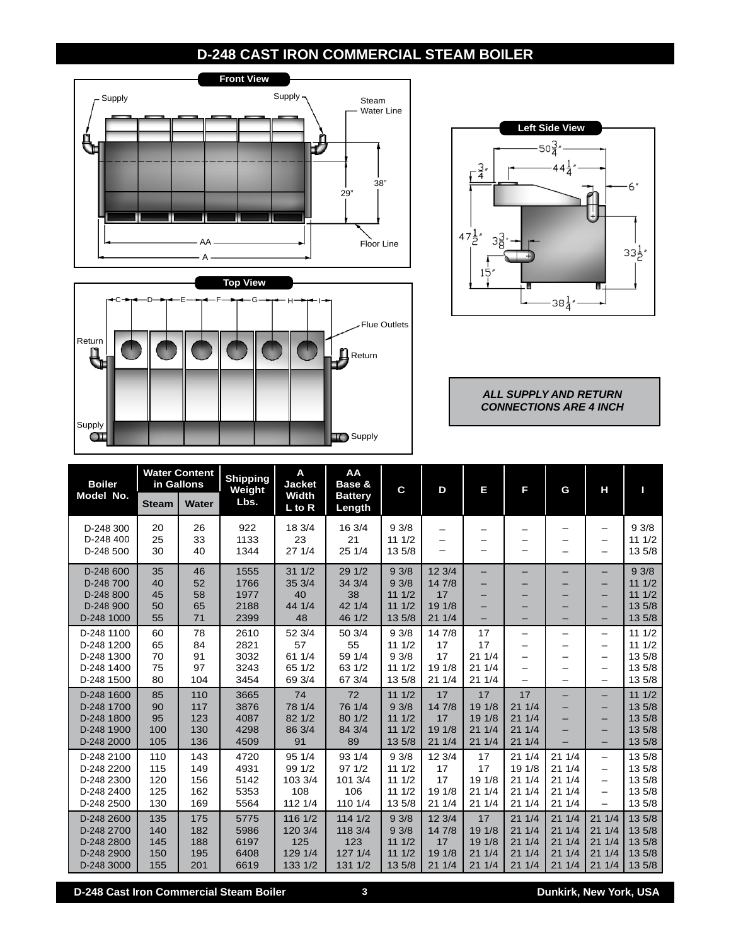## **D-248 CAST IRON COMMERCIAL STEAM BOILER**







*ALL SUPPLY AND RETURN CONNECTIONS ARE 4 INCH*

| <b>Boiler</b><br>Model No.                                         | <b>Water Content</b><br>in Gallons |                                 | <b>Shipping</b><br>Weight            | A<br><b>Jacket</b>                              | AA<br>Base &                                   | C                                         | D                                         | Ε                                        | F                                           | G                                         | н                                                                   | П                                              |
|--------------------------------------------------------------------|------------------------------------|---------------------------------|--------------------------------------|-------------------------------------------------|------------------------------------------------|-------------------------------------------|-------------------------------------------|------------------------------------------|---------------------------------------------|-------------------------------------------|---------------------------------------------------------------------|------------------------------------------------|
|                                                                    | <b>Steam</b>                       | <b>Water</b>                    | Lbs.                                 | Width<br>$L$ to R                               | <b>Battery</b><br>Length                       |                                           |                                           |                                          |                                             |                                           |                                                                     |                                                |
| D-248 300<br>D-248 400<br>D-248 500                                | 20<br>25<br>30                     | 26<br>33<br>40                  | 922<br>1133<br>1344                  | 18 3/4<br>23<br>271/4                           | 16 3/4<br>21<br>25 1/4                         | 93/8<br>111/2<br>13 5/8                   | -<br>-                                    |                                          | -<br>—                                      |                                           | -<br>$\overline{\phantom{0}}$                                       | 93/8<br>111/2<br>13 5/8                        |
| D-248 600<br>D-248 700<br>D-248 800<br>D-248 900<br>D-248 1000     | 35<br>40<br>45<br>50<br>55         | 46<br>52<br>58<br>65<br>71      | 1555<br>1766<br>1977<br>2188<br>2399 | 311/2<br>353/4<br>40<br>44 1/4<br>48            | 29 1/2<br>34 3/4<br>38<br>42 1/4<br>46 1/2     | 93/8<br>93/8<br>111/2<br>111/2<br>13 5/8  | 12 3/4<br>14 7/8<br>17<br>19 1/8<br>211/4 | -<br>-<br>-<br>-                         | -<br>-                                      |                                           | $\overline{\phantom{0}}$<br>-                                       | 93/8<br>111/2<br>111/2<br>13 5/8<br>13 5/8     |
| D-248 1100<br>D-248 1200<br>D-248 1300<br>D-248 1400<br>D-248 1500 | 60<br>65<br>70<br>75<br>80         | 78<br>84<br>91<br>97<br>104     | 2610<br>2821<br>3032<br>3243<br>3454 | 52 3/4<br>57<br>61 1/4<br>65 1/2<br>69 3/4      | 50 3/4<br>55<br>59 1/4<br>63 1/2<br>67 3/4     | 93/8<br>111/2<br>93/8<br>111/2<br>13 5/8  | 14 7/8<br>17<br>17<br>19 1/8<br>211/4     | 17<br>17<br>211/4<br>211/4<br>21 1/4     | $\overline{\phantom{0}}$<br>-<br>-          | $\qquad \qquad$                           | $\overline{\phantom{0}}$<br>-<br>-<br>$\overline{\phantom{0}}$<br>- | 111/2<br>111/2<br>13 5/8<br>13 5/8<br>13 5/8   |
| D-248 1600<br>D-248 1700<br>D-248 1800<br>D-248 1900<br>D-248 2000 | 85<br>90<br>95<br>100<br>105       | 110<br>117<br>123<br>130<br>136 | 3665<br>3876<br>4087<br>4298<br>4509 | 74<br>78 1/4<br>82 1/2<br>86 3/4<br>91          | 72<br>76 1/4<br>80 1/2<br>84 3/4<br>89         | 111/2<br>93/8<br>111/2<br>111/2<br>13 5/8 | 17<br>14 7/8<br>17<br>19 1/8<br>211/4     | 17<br>19 1/8<br>19 1/8<br>211/4<br>211/4 | 17<br>211/4<br>211/4<br>211/4<br>211/4      |                                           | -<br>-<br>-                                                         | 111/2<br>13 5/8<br>13 5/8<br>13 5/8<br>13 5/8  |
| D-248 2100<br>D-248 2200<br>D-248 2300<br>D-248 2400<br>D-248 2500 | 110<br>115<br>120<br>125<br>130    | 143<br>149<br>156<br>162<br>169 | 4720<br>4931<br>5142<br>5353<br>5564 | 95 1/4<br>99 1/2<br>103 3/4<br>108<br>112 1/4   | 93 1/4<br>971/2<br>101 3/4<br>106<br>110 1/4   | 93/8<br>111/2<br>111/2<br>111/2<br>13 5/8 | 12 3/4<br>17<br>17<br>19 1/8<br>211/4     | 17<br>17<br>19 1/8<br>211/4<br>211/4     | 211/4<br>19 1/8<br>211/4<br>211/4<br>21 1/4 | 211/4<br>211/4<br>211/4<br>211/4<br>211/4 | -<br>-<br>-<br>-<br>-                                               | 13 5/8<br>13 5/8<br>13 5/8<br>13 5/8<br>13 5/8 |
| D-248 2600<br>D-248 2700<br>D-248 2800<br>D-248 2900<br>D-248 3000 | 135<br>140<br>145<br>150<br>155    | 175<br>182<br>188<br>195<br>201 | 5775<br>5986<br>6197<br>6408<br>6619 | 116 1/2<br>120 3/4<br>125<br>129 1/4<br>133 1/2 | 1141/2<br>118 3/4<br>123<br>127 1/4<br>131 1/2 | 93/8<br>93/8<br>111/2<br>111/2<br>13 5/8  | 123/4<br>14 7/8<br>17<br>19 1/8<br>211/4  | 17<br>19 1/8<br>19 1/8<br>211/4<br>211/4 | 211/4<br>211/4<br>211/4<br>211/4<br>211/4   | 211/4<br>211/4<br>211/4<br>211/4<br>211/4 | 211/4<br>211/4<br>211/4<br>211/4<br>211/4                           | 13 5/8<br>13 5/8<br>13 5/8<br>13 5/8<br>13 5/8 |

**D-248 Cast Iron Commercial Steam Boiler 3 Dunkirk, New York, USA**